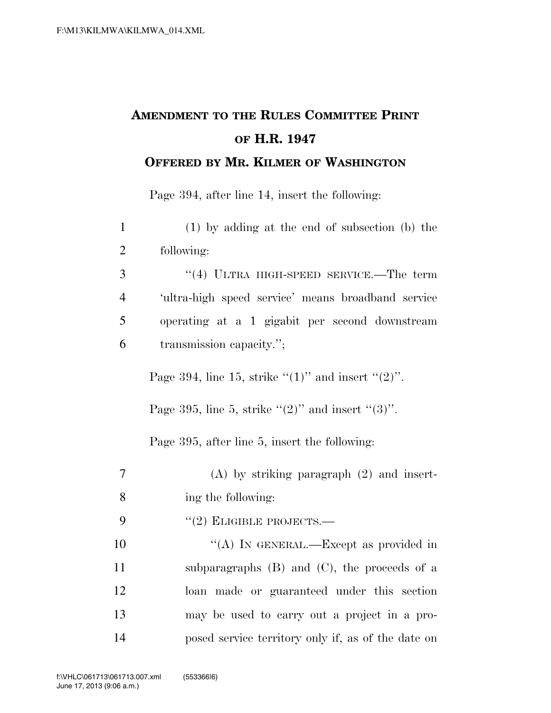## **AMENDMENT TO THE RULES COMMITTEE PRINT OF H.R. 1947 OFFERED BY MR. KILMER OF WASHINGTON**

Page 394, after line 14, insert the following:

| $\mathbf{1}$   | $(1)$ by adding at the end of subsection $(b)$ the        |
|----------------|-----------------------------------------------------------|
| $\overline{2}$ | following:                                                |
| 3              | $``(4)$ ULTRA HIGH-SPEED SERVICE.—The term                |
| $\overline{4}$ | 'ultra-high speed service' means broadband service        |
| 5              | operating at a 1 gigabit per second downstream            |
| 6              | transmission capacity.";                                  |
|                | Page 394, line 15, strike " $(1)$ " and insert " $(2)$ ". |
|                | Page 395, line 5, strike " $(2)$ " and insert " $(3)$ ".  |
|                | Page 395, after line 5, insert the following:             |
| 7              | $(A)$ by striking paragraph $(2)$ and insert-             |
| 8              | ing the following:                                        |
| 9              | $``(2)$ ELIGIBLE PROJECTS.—                               |
| 10             | "(A) IN GENERAL.—Except as provided in                    |
| 11             | subparagraphs $(B)$ and $(C)$ , the proceeds of a         |
| 12             | loan made or guaranteed under this section                |
| 13             | may be used to carry out a project in a pro-              |
| 14             | posed service territory only if, as of the date on        |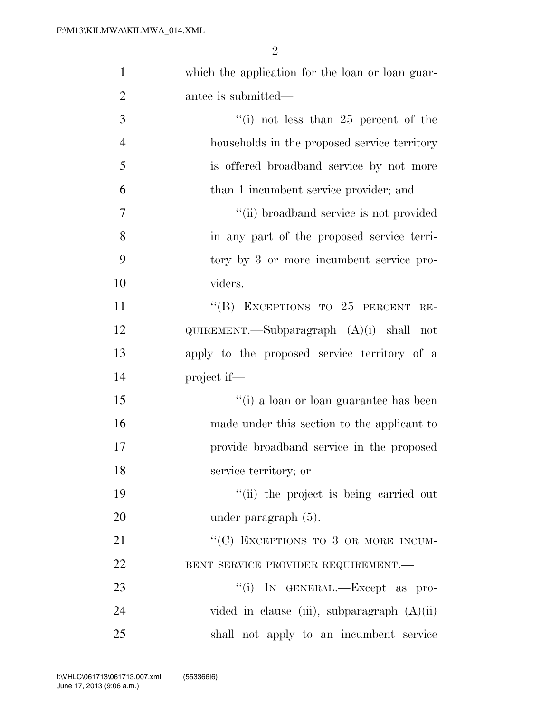| $\mathbf{1}$   | which the application for the loan or loan guar- |
|----------------|--------------------------------------------------|
| $\overline{2}$ | antee is submitted—                              |
| 3              | "(i) not less than $25$ percent of the           |
| $\overline{4}$ | households in the proposed service territory     |
| 5              | is offered broadband service by not more         |
| 6              | than 1 incumbent service provider; and           |
| $\overline{7}$ | "(ii) broadband service is not provided          |
| 8              | in any part of the proposed service terri-       |
| 9              | tory by 3 or more incumbent service pro-         |
| 10             | viders.                                          |
| 11             | "(B) EXCEPTIONS TO $25$ PERCENT<br>$RE-$         |
| 12             | $QUIREMENT.$ —Subparagraph $(A)(i)$ shall not    |
| 13             | apply to the proposed service territory of a     |
| 14             | project if—                                      |
| 15             | $\lq\lq(i)$ a loan or loan guarantee has been    |
| 16             | made under this section to the applicant to      |
| 17             | provide broadband service in the proposed        |
| 18             | service territory; or                            |
| 19             | "(ii) the project is being carried out           |
| 20             | under paragraph $(5)$ .                          |
| 21             | "(C) EXCEPTIONS TO 3 OR MORE INCUM-              |
| 22             | BENT SERVICE PROVIDER REQUIREMENT.               |
| 23             | "(i) IN GENERAL.—Except as pro-                  |
| 24             | vided in clause (iii), subparagraph $(A)(ii)$    |
| 25             | shall not apply to an incumbent service          |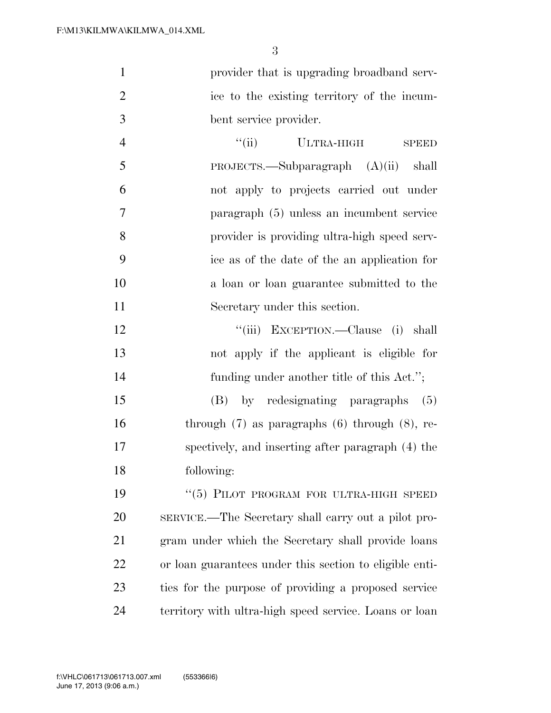**provider that is upgrading broadband serv-** ice to the existing territory of the incum-bent service provider.

4 ''(ii) ULTRA-HIGH SPEED PROJECTS.—Subparagraph (A)(ii) shall not apply to projects carried out under paragraph (5) unless an incumbent service provider is providing ultra-high speed serv- ice as of the date of the an application for a loan or loan guarantee submitted to the Secretary under this section.

 ''(iii) EXCEPTION.—Clause (i) shall not apply if the applicant is eligible for funding under another title of this Act.'';

 (B) by redesignating paragraphs (5) through (7) as paragraphs (6) through (8), re- spectively, and inserting after paragraph (4) the following:

19 "(5) PILOT PROGRAM FOR ULTRA-HIGH SPEED SERVICE.—The Secretary shall carry out a pilot pro- gram under which the Secretary shall provide loans or loan guarantees under this section to eligible enti- ties for the purpose of providing a proposed service territory with ultra-high speed service. Loans or loan